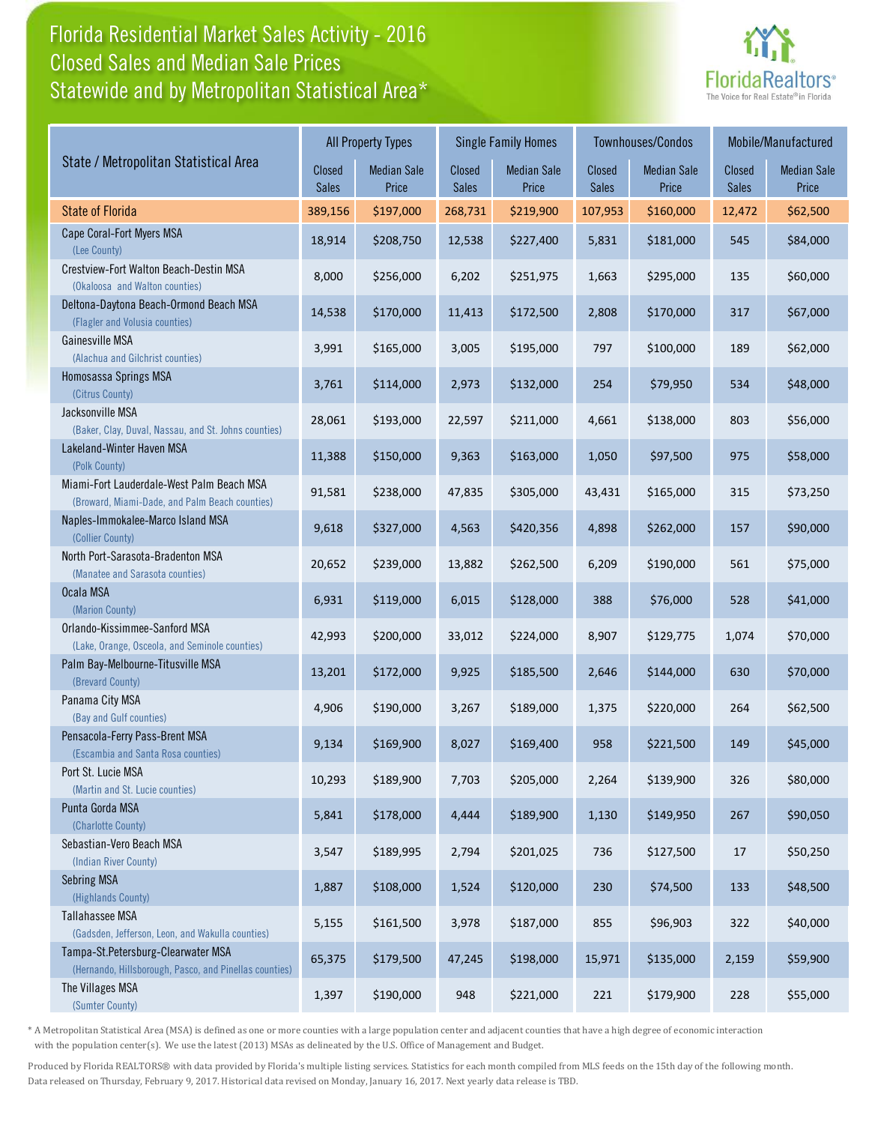## Florida Residential Market Sales Activity - 2016 Statewide and by Metropolitan Statistical Area\* Closed Sales and Median Sale Prices



|                                                                                              | <b>All Property Types</b> |                             | <b>Single Family Homes</b> |                             | Townhouses/Condos      |                             | Mobile/Manufactured           |                             |
|----------------------------------------------------------------------------------------------|---------------------------|-----------------------------|----------------------------|-----------------------------|------------------------|-----------------------------|-------------------------------|-----------------------------|
| State / Metropolitan Statistical Area                                                        | Closed<br><b>Sales</b>    | <b>Median Sale</b><br>Price | Closed<br><b>Sales</b>     | <b>Median Sale</b><br>Price | Closed<br><b>Sales</b> | <b>Median Sale</b><br>Price | <b>Closed</b><br><b>Sales</b> | <b>Median Sale</b><br>Price |
| <b>State of Florida</b>                                                                      | 389,156                   | \$197,000                   | 268,731                    | \$219,900                   | 107,953                | \$160,000                   | 12,472                        | \$62,500                    |
| Cape Coral-Fort Myers MSA<br>(Lee County)                                                    | 18,914                    | \$208,750                   | 12,538                     | \$227,400                   | 5,831                  | \$181,000                   | 545                           | \$84,000                    |
| Crestview-Fort Walton Beach-Destin MSA<br>(Okaloosa and Walton counties)                     | 8,000                     | \$256,000                   | 6,202                      | \$251,975                   | 1,663                  | \$295,000                   | 135                           | \$60,000                    |
| Deltona-Daytona Beach-Ormond Beach MSA<br>(Flagler and Volusia counties)                     | 14,538                    | \$170,000                   | 11,413                     | \$172,500                   | 2,808                  | \$170,000                   | 317                           | \$67,000                    |
| Gainesville MSA<br>(Alachua and Gilchrist counties)                                          | 3,991                     | \$165,000                   | 3,005                      | \$195,000                   | 797                    | \$100,000                   | 189                           | \$62,000                    |
| Homosassa Springs MSA<br>(Citrus County)                                                     | 3,761                     | \$114,000                   | 2,973                      | \$132,000                   | 254                    | \$79,950                    | 534                           | \$48,000                    |
| Jacksonville MSA<br>(Baker, Clay, Duval, Nassau, and St. Johns counties)                     | 28,061                    | \$193,000                   | 22,597                     | \$211,000                   | 4,661                  | \$138,000                   | 803                           | \$56,000                    |
| Lakeland-Winter Haven MSA<br>(Polk County)                                                   | 11,388                    | \$150,000                   | 9,363                      | \$163,000                   | 1,050                  | \$97,500                    | 975                           | \$58,000                    |
| Miami-Fort Lauderdale-West Palm Beach MSA<br>(Broward, Miami-Dade, and Palm Beach counties)  | 91,581                    | \$238,000                   | 47,835                     | \$305,000                   | 43,431                 | \$165,000                   | 315                           | \$73,250                    |
| Naples-Immokalee-Marco Island MSA<br>(Collier County)                                        | 9,618                     | \$327,000                   | 4,563                      | \$420,356                   | 4,898                  | \$262,000                   | 157                           | \$90,000                    |
| North Port-Sarasota-Bradenton MSA<br>(Manatee and Sarasota counties)                         | 20,652                    | \$239,000                   | 13,882                     | \$262,500                   | 6,209                  | \$190,000                   | 561                           | \$75,000                    |
| Ocala MSA<br>(Marion County)                                                                 | 6,931                     | \$119,000                   | 6,015                      | \$128,000                   | 388                    | \$76,000                    | 528                           | \$41,000                    |
| Orlando-Kissimmee-Sanford MSA<br>(Lake, Orange, Osceola, and Seminole counties)              | 42,993                    | \$200,000                   | 33,012                     | \$224,000                   | 8,907                  | \$129,775                   | 1,074                         | \$70,000                    |
| Palm Bay-Melbourne-Titusville MSA<br>(Brevard County)                                        | 13,201                    | \$172,000                   | 9,925                      | \$185,500                   | 2,646                  | \$144,000                   | 630                           | \$70,000                    |
| Panama City MSA<br>(Bay and Gulf counties)                                                   | 4,906                     | \$190,000                   | 3,267                      | \$189,000                   | 1,375                  | \$220,000                   | 264                           | \$62,500                    |
| Pensacola-Ferry Pass-Brent MSA<br>(Escambia and Santa Rosa counties)                         | 9,134                     | \$169,900                   | 8,027                      | \$169,400                   | 958                    | \$221,500                   | 149                           | \$45,000                    |
| Port St. Lucie MSA<br>(Martin and St. Lucie counties)                                        | 10,293                    | \$189,900                   | 7,703                      | \$205,000                   | 2,264                  | \$139,900                   | 326                           | \$80,000                    |
| Punta Gorda MSA<br>(Charlotte County)                                                        | 5,841                     | \$178,000                   | 4,444                      | \$189,900                   | 1,130                  | \$149,950                   | 267                           | \$90,050                    |
| Sebastian-Vero Beach MSA<br>(Indian River County)                                            | 3,547                     | \$189,995                   | 2,794                      | \$201,025                   | 736                    | \$127,500                   | 17                            | \$50,250                    |
| <b>Sebring MSA</b><br>(Highlands County)                                                     | 1,887                     | \$108,000                   | 1,524                      | \$120,000                   | 230                    | \$74,500                    | 133                           | \$48,500                    |
| Tallahassee MSA<br>(Gadsden, Jefferson, Leon, and Wakulla counties)                          | 5,155                     | \$161,500                   | 3,978                      | \$187,000                   | 855                    | \$96,903                    | 322                           | \$40,000                    |
| Tampa-St.Petersburg-Clearwater MSA<br>(Hernando, Hillsborough, Pasco, and Pinellas counties) | 65,375                    | \$179,500                   | 47,245                     | \$198,000                   | 15,971                 | \$135,000                   | 2,159                         | \$59,900                    |
| The Villages MSA<br>(Sumter County)                                                          | 1,397                     | \$190,000                   | 948                        | \$221,000                   | 221                    | \$179,900                   | 228                           | \$55,000                    |

\* A Metropolitan Statistical Area (MSA) is defined as one or more counties with a large population center and adjacent counties that have a high degree of economic interaction with the population center(s). We use the latest (2013) MSAs as delineated by the U.S. Office of Management and Budget.

Produced by Florida REALTORS® with data provided by Florida's multiple listing services. Statistics for each month compiled from MLS feeds on the 15th day of the following month. Data released on Thursday, February 9, 2017. Historical data revised on Monday, January 16, 2017. Next yearly data release is TBD.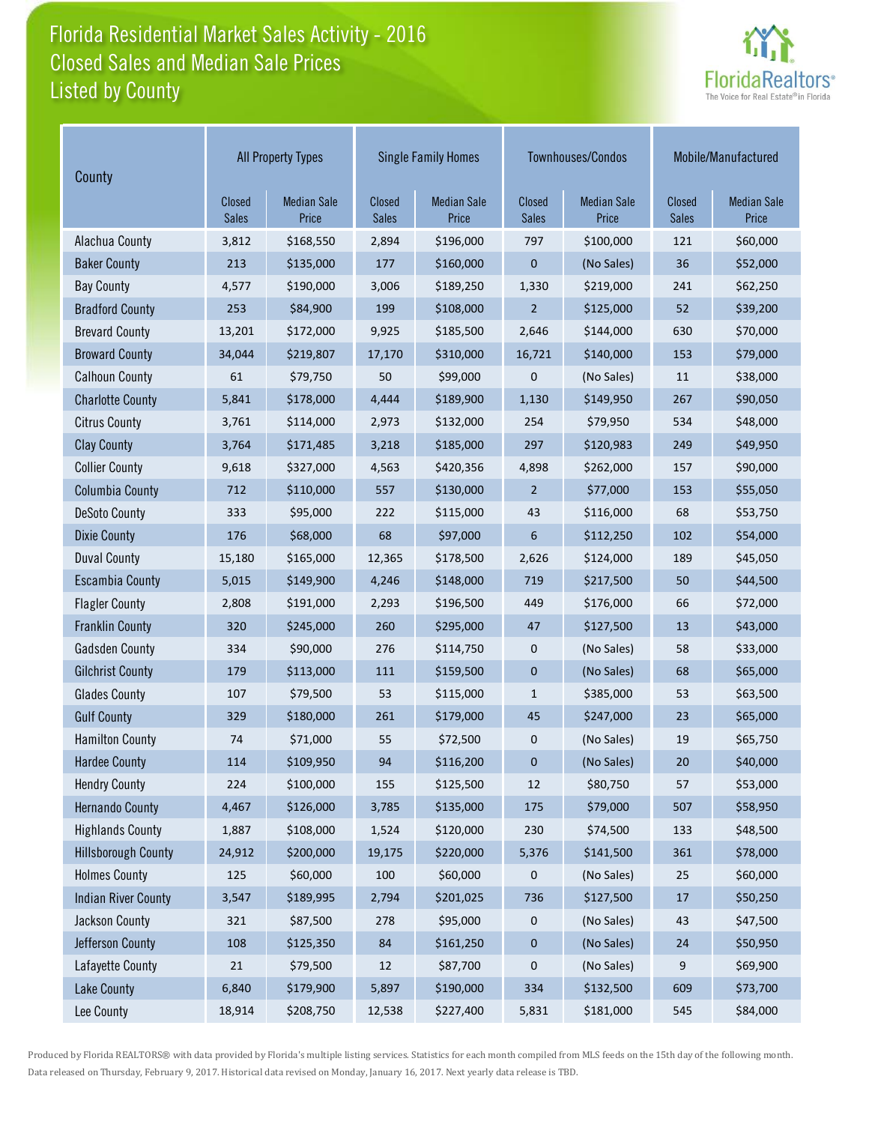## Florida Residential Market Sales Activity - 2016 Listed by County Closed Sales and Median Sale Prices



| County                     | <b>All Property Types</b>     |                             | <b>Single Family Homes</b> |                             |                        | Townhouses/Condos           | Mobile/Manufactured    |                             |
|----------------------------|-------------------------------|-----------------------------|----------------------------|-----------------------------|------------------------|-----------------------------|------------------------|-----------------------------|
|                            | <b>Closed</b><br><b>Sales</b> | <b>Median Sale</b><br>Price | Closed<br>Sales            | <b>Median Sale</b><br>Price | Closed<br><b>Sales</b> | <b>Median Sale</b><br>Price | Closed<br><b>Sales</b> | <b>Median Sale</b><br>Price |
| Alachua County             | 3,812                         | \$168,550                   | 2,894                      | \$196,000                   | 797                    | \$100,000                   | 121                    | \$60,000                    |
| <b>Baker County</b>        | 213                           | \$135,000                   | 177                        | \$160,000                   | $\pmb{0}$              | (No Sales)                  | 36                     | \$52,000                    |
| <b>Bay County</b>          | 4,577                         | \$190,000                   | 3,006                      | \$189,250                   | 1,330                  | \$219,000                   |                        | \$62,250                    |
| <b>Bradford County</b>     | 253                           | \$84,900                    | 199                        | \$108,000                   | $\overline{2}$         | \$125,000                   | 52                     | \$39,200                    |
| <b>Brevard County</b>      | 13,201                        | \$172,000                   | 9,925                      | \$185,500                   | 2,646                  | \$144,000                   | 630                    | \$70,000                    |
| <b>Broward County</b>      | 34,044                        | \$219,807                   | 17,170                     | \$310,000                   | 16,721                 | \$140,000                   | 153                    | \$79,000                    |
| <b>Calhoun County</b>      | 61                            | \$79,750                    | 50                         | \$99,000                    | 0                      | (No Sales)                  | 11                     | \$38,000                    |
| <b>Charlotte County</b>    | 5,841                         | \$178,000                   | 4,444                      | \$189,900                   | 1,130                  | \$149,950                   | 267                    | \$90,050                    |
| <b>Citrus County</b>       | 3,761                         | \$114,000                   | 2,973                      | \$132,000                   | 254                    | \$79,950                    | 534                    | \$48,000                    |
| <b>Clay County</b>         | 3,764                         | \$171,485                   | 3,218                      | \$185,000                   | 297                    | \$120,983                   | 249                    | \$49,950                    |
| <b>Collier County</b>      | 9,618                         | \$327,000                   | 4,563                      | \$420,356                   | 4,898                  | \$262,000                   | 157                    | \$90,000                    |
| <b>Columbia County</b>     | 712                           | \$110,000                   | 557                        | \$130,000                   | $\overline{2}$         | \$77,000                    | 153                    | \$55,050                    |
| <b>DeSoto County</b>       | 333                           | \$95,000                    | 222                        | \$115,000                   | 43                     | \$116,000                   | 68                     | \$53,750                    |
| <b>Dixie County</b>        | 176                           | \$68,000                    | 68                         | \$97,000                    | 6                      | \$112,250                   | 102                    | \$54,000                    |
| <b>Duval County</b>        | 15,180                        | \$165,000                   | 12,365                     | \$178,500                   | 2,626                  | \$124,000                   | 189                    | \$45,050                    |
| <b>Escambia County</b>     | 5,015                         | \$149,900                   | 4,246                      | \$148,000                   | 719                    | \$217,500                   | 50                     | \$44,500                    |
| <b>Flagler County</b>      | 2,808                         | \$191,000                   | 2,293                      | \$196,500                   | 449                    | \$176,000                   | 66                     | \$72,000                    |
| <b>Franklin County</b>     | 320                           | \$245,000                   | 260                        | \$295,000                   | 47                     | \$127,500                   | 13                     | \$43,000                    |
| <b>Gadsden County</b>      | 334                           | \$90,000                    | 276                        | \$114,750                   | $\mathbf 0$            | (No Sales)                  | 58                     | \$33,000                    |
| <b>Gilchrist County</b>    | 179                           | \$113,000                   | 111                        | \$159,500                   | $\mathbf 0$            | (No Sales)                  | 68                     | \$65,000                    |
| <b>Glades County</b>       | 107                           | \$79,500                    | 53                         | \$115,000                   | $\mathbf{1}$           | \$385,000                   | 53                     | \$63,500                    |
| <b>Gulf County</b>         | 329                           | \$180,000                   | 261                        | \$179,000                   | 45                     | \$247,000                   | 23                     | \$65,000                    |
| <b>Hamilton County</b>     | 74                            | \$71,000                    | 55                         | \$72,500                    | 0                      | (No Sales)                  | 19                     | \$65,750                    |
| <b>Hardee County</b>       | 114                           | \$109,950                   | 94                         | \$116,200                   | $\mathbf 0$            | (No Sales)                  | 20                     | \$40,000                    |
| <b>Hendry County</b>       | 224                           | \$100,000                   | 155                        | \$125,500                   | 12                     | \$80,750                    | 57                     | \$53,000                    |
| <b>Hernando County</b>     | 4,467                         | \$126,000                   | 3,785                      | \$135,000                   | 175                    | \$79,000                    | 507                    | \$58,950                    |
| <b>Highlands County</b>    | 1,887                         | \$108,000                   | 1,524                      | \$120,000                   | 230                    | \$74,500                    | 133                    | \$48,500                    |
| <b>Hillsborough County</b> | 24,912                        | \$200,000                   | 19,175                     | \$220,000                   | 5,376                  | \$141,500                   | 361                    | \$78,000                    |
| <b>Holmes County</b>       | 125                           | \$60,000                    | 100                        | \$60,000                    | 0                      | (No Sales)                  | 25                     | \$60,000                    |
| <b>Indian River County</b> | 3,547                         | \$189,995                   | 2,794                      | \$201,025                   | 736                    | \$127,500                   | 17                     | \$50,250                    |
| Jackson County             | 321                           | \$87,500                    | 278                        | \$95,000                    | 0                      | (No Sales)                  | 43                     | \$47,500                    |
| Jefferson County           | 108                           | \$125,350                   | 84                         | \$161,250                   | 0                      | (No Sales)                  | 24                     | \$50,950                    |
| Lafayette County           | 21                            | \$79,500                    | 12                         | \$87,700                    | 0                      | (No Sales)                  | 9                      | \$69,900                    |
| <b>Lake County</b>         | 6,840                         | \$179,900                   | 5,897                      | \$190,000                   | 334                    | \$132,500                   | 609                    | \$73,700                    |
| Lee County                 | 18,914                        | \$208,750                   | 12,538                     | \$227,400                   | 5,831                  | \$181,000                   | 545                    | \$84,000                    |

Produced by Florida REALTORS® with data provided by Florida's multiple listing services. Statistics for each month compiled from MLS feeds on the 15th day of the following month. Data released on Thursday, February 9, 2017. Historical data revised on Monday, January 16, 2017. Next yearly data release is TBD.